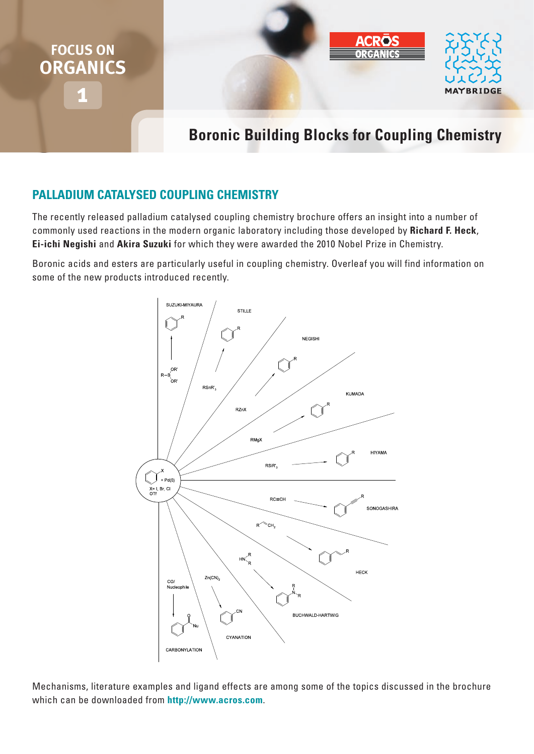

# **Boronic Building Blocks for Coupling Chemistry**

# **Palladium Catalysed Coupling Chemistry**

The recently released palladium catalysed coupling chemistry brochure offers an insight into a number of commonly used reactions in the modern organic laboratory including those developed by **Richard F. Heck**, **Ei-ichi Negishi** and **Akira Suzuki** for which they were awarded the 2010 Nobel Prize in Chemistry.

Boronic acids and esters are particularly useful in coupling chemistry. Overleaf you will find information on some of the new products introduced recently.



Mechanisms, literature examples and ligand effects are among some of the topics discussed in the brochure which can be downloaded from **http://www.acros.com**.